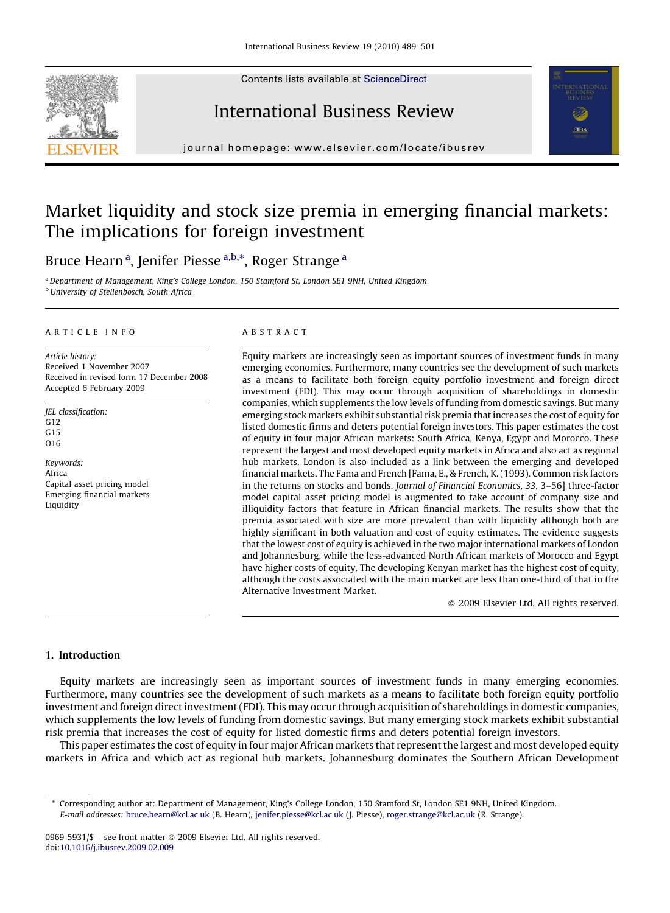Contents lists available at [ScienceDirect](http://www.sciencedirect.com/science/journal/09695931)







journal homepage: www.elsevier.com/locate/ibusrev

# Market liquidity and stock size premia in emerging financial markets: The implications for foreign investment

Bruce Hearn <sup>a</sup>, Jenifer Piesse <sup>a,b,</sup>\*, Roger Strange <sup>a</sup>

<sup>a</sup> Department of Management, King's College London, 150 Stamford St, London SE1 9NH, United Kingdom **b** University of Stellenbosch, South Africa

## ARTICLE INFO

Article history: Received 1 November 2007 Received in revised form 17 December 2008 Accepted 6 February 2009

JEL classification: G12 G15 O16

Keywords: Africa Capital asset pricing model Emerging financial markets Liquidity

## ABSTRACT

Equity markets are increasingly seen as important sources of investment funds in many emerging economies. Furthermore, many countries see the development of such markets as a means to facilitate both foreign equity portfolio investment and foreign direct investment (FDI). This may occur through acquisition of shareholdings in domestic companies, which supplements the low levels of funding from domestic savings. But many emerging stock markets exhibit substantial risk premia that increases the cost of equity for listed domestic firms and deters potential foreign investors. This paper estimates the cost of equity in four major African markets: South Africa, Kenya, Egypt and Morocco. These represent the largest and most developed equity markets in Africa and also act as regional hub markets. London is also included as a link between the emerging and developed financial markets. The Fama and French [Fama, E., & French, K. (1993). Common risk factors in the returns on stocks and bonds. Journal of Financial Economics, 33, 3–56] three-factor model capital asset pricing model is augmented to take account of company size and illiquidity factors that feature in African financial markets. The results show that the premia associated with size are more prevalent than with liquidity although both are highly significant in both valuation and cost of equity estimates. The evidence suggests that the lowest cost of equity is achieved in the two major international markets of London and Johannesburg, while the less-advanced North African markets of Morocco and Egypt have higher costs of equity. The developing Kenyan market has the highest cost of equity, although the costs associated with the main market are less than one-third of that in the Alternative Investment Market.

 $\odot$  2009 Elsevier Ltd. All rights reserved.

#### 1. Introduction

Equity markets are increasingly seen as important sources of investment funds in many emerging economies. Furthermore, many countries see the development of such markets as a means to facilitate both foreign equity portfolio investment and foreign direct investment (FDI). This may occur through acquisition of shareholdings in domestic companies, which supplements the low levels of funding from domestic savings. But many emerging stock markets exhibit substantial risk premia that increases the cost of equity for listed domestic firms and deters potential foreign investors.

This paper estimates the cost of equity in four major African markets that represent the largest and most developed equity markets in Africa and which act as regional hub markets. Johannesburg dominates the Southern African Development

<sup>\*</sup> Corresponding author at: Department of Management, King's College London, 150 Stamford St, London SE1 9NH, United Kingdom. E-mail addresses: [bruce.hearn@kcl.ac.uk](mailto:bruce.hearn@kcl.ac.uk) (B. Hearn), [jenifer.piesse@kcl.ac.uk](mailto:jenifer.piesse@kcl.ac.uk) (J. Piesse), [roger.strange@kcl.ac.uk](mailto:roger.strange@kcl.ac.uk) (R. Strange).

<sup>0969-5931/\$ –</sup> see front matter © 2009 Elsevier Ltd. All rights reserved. doi:[10.1016/j.ibusrev.2009.02.009](http://dx.doi.org/10.1016/j.ibusrev.2009.02.009)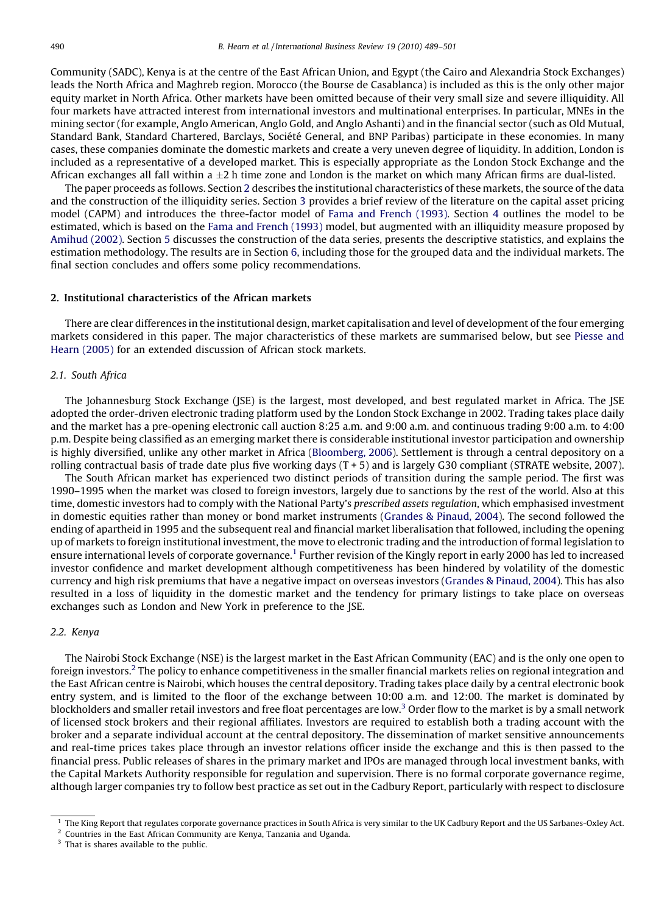Community (SADC), Kenya is at the centre of the East African Union, and Egypt (the Cairo and Alexandria Stock Exchanges) leads the North Africa and Maghreb region. Morocco (the Bourse de Casablanca) is included as this is the only other major equity market in North Africa. Other markets have been omitted because of their very small size and severe illiquidity. All four markets have attracted interest from international investors and multinational enterprises. In particular, MNEs in the mining sector (for example, Anglo American, Anglo Gold, and Anglo Ashanti) and in the financial sector (such as Old Mutual, Standard Bank, Standard Chartered, Barclays, Société General, and BNP Paribas) participate in these economies. In many cases, these companies dominate the domestic markets and create a very uneven degree of liquidity. In addition, London is included as a representative of a developed market. This is especially appropriate as the London Stock Exchange and the African exchanges all fall within a  $\pm 2$  h time zone and London is the market on which many African firms are dual-listed.

The paper proceeds as follows. Section 2 describes the institutional characteristics of these markets, the source of the data and the construction of the illiquidity series. Section [3](#page--1-0) provides a brief review of the literature on the capital asset pricing model (CAPM) and introduces the three-factor model of [Fama and French \(1993\).](#page--1-0) Section [4](#page--1-0) outlines the model to be estimated, which is based on the [Fama and French \(1993\)](#page--1-0) model, but augmented with an illiquidity measure proposed by [Amihud \(2002\)](#page--1-0). Section [5](#page--1-0) discusses the construction of the data series, presents the descriptive statistics, and explains the estimation methodology. The results are in Section [6](#page--1-0), including those for the grouped data and the individual markets. The final section concludes and offers some policy recommendations.

# 2. Institutional characteristics of the African markets

There are clear differences in the institutional design, market capitalisation and level of development of the four emerging markets considered in this paper. The major characteristics of these markets are summarised below, but see [Piesse and](#page--1-0) [Hearn \(2005\)](#page--1-0) for an extended discussion of African stock markets.

# 2.1. South Africa

The Johannesburg Stock Exchange (JSE) is the largest, most developed, and best regulated market in Africa. The JSE adopted the order-driven electronic trading platform used by the London Stock Exchange in 2002. Trading takes place daily and the market has a pre-opening electronic call auction 8:25 a.m. and 9:00 a.m. and continuous trading 9:00 a.m. to 4:00 p.m. Despite being classified as an emerging market there is considerable institutional investor participation and ownership is highly diversified, unlike any other market in Africa ([Bloomberg, 2006\)](#page--1-0). Settlement is through a central depository on a rolling contractual basis of trade date plus five working days  $(T + 5)$  and is largely G30 compliant (STRATE website, 2007).

The South African market has experienced two distinct periods of transition during the sample period. The first was 1990–1995 when the market was closed to foreign investors, largely due to sanctions by the rest of the world. Also at this time, domestic investors had to comply with the National Party's prescribed assets regulation, which emphasised investment in domestic equities rather than money or bond market instruments [\(Grandes & Pinaud, 2004](#page--1-0)). The second followed the ending of apartheid in 1995 and the subsequent real and financial market liberalisation that followed, including the opening up of markets to foreign institutional investment, the move to electronic trading and the introduction of formal legislation to ensure international levels of corporate governance.<sup>1</sup> Further revision of the Kingly report in early 2000 has led to increased investor confidence and market development although competitiveness has been hindered by volatility of the domestic currency and high risk premiums that have a negative impact on overseas investors ([Grandes & Pinaud, 2004](#page--1-0)). This has also resulted in a loss of liquidity in the domestic market and the tendency for primary listings to take place on overseas exchanges such as London and New York in preference to the JSE.

#### 2.2. Kenya

The Nairobi Stock Exchange (NSE) is the largest market in the East African Community (EAC) and is the only one open to foreign investors.<sup>2</sup> The policy to enhance competitiveness in the smaller financial markets relies on regional integration and the East African centre is Nairobi, which houses the central depository. Trading takes place daily by a central electronic book entry system, and is limited to the floor of the exchange between 10:00 a.m. and 12:00. The market is dominated by blockholders and smaller retail investors and free float percentages are low.<sup>3</sup> Order flow to the market is by a small network of licensed stock brokers and their regional affiliates. Investors are required to establish both a trading account with the broker and a separate individual account at the central depository. The dissemination of market sensitive announcements and real-time prices takes place through an investor relations officer inside the exchange and this is then passed to the financial press. Public releases of shares in the primary market and IPOs are managed through local investment banks, with the Capital Markets Authority responsible for regulation and supervision. There is no formal corporate governance regime, although larger companies try to follow best practice as set out in the Cadbury Report, particularly with respect to disclosure

<sup>1</sup> The King Report that regulates corporate governance practices in South Africa is very similar to the UK Cadbury Report and the US Sarbanes-Oxley Act.

<sup>2</sup> Countries in the East African Community are Kenya, Tanzania and Uganda.

<sup>&</sup>lt;sup>3</sup> That is shares available to the public.